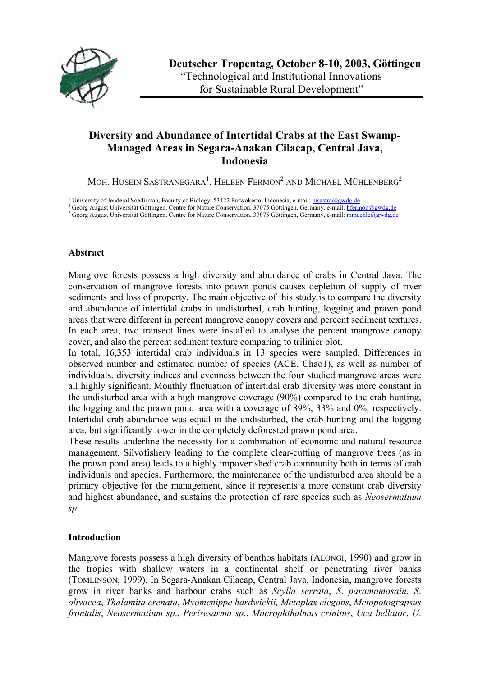

# **Diversity and Abundance of Intertidal Crabs at the East Swamp-Managed Areas in Segara-Anakan Cilacap, Central Java, Indonesia**

MOH. HUSEIN SASTRANEGARA $^{\rm l}$ , Heleen Fermon $^{\rm 2}$  and Michael Mühlenberg $^{\rm 2}$ 

<sup>1</sup> University of Jenderal Soedirman, Faculty of Biology, 53122 Purwokerto, Indonesia, e-mail: [msastra@gwdg.de](mailto:msastra@gwdg.de)

<sup>2</sup> Georg August Universität Göttingen, Centre for Nature Conservation, 37075 Göttingen, Germany, e-mail: [hfermon@gwdg.de](mailto:hfermon@gwdg.de)

<sup>2</sup> Georg August Universität Göttingen, Centre for Nature Conservation, 37075 Göttingen, Germany, e-mail: [mmuehle@gwdg.de](mailto:mmuehle@gwdg.de)

#### **Abstract**

Mangrove forests possess a high diversity and abundance of crabs in Central Java. The conservation of mangrove forests into prawn ponds causes depletion of supply of river sediments and loss of property. The main objective of this study is to compare the diversity and abundance of intertidal crabs in undisturbed, crab hunting, logging and prawn pond areas that were different in percent mangrove canopy covers and percent sediment textures. In each area, two transect lines were installed to analyse the percent mangrove canopy cover, and also the percent sediment texture comparing to trilinier plot.

In total, 16,353 intertidal crab individuals in 13 species were sampled. Differences in observed number and estimated number of species (ACE, Chao1), as well as number of individuals, diversity indices and evenness between the four studied mangrove areas were all highly significant. Monthly fluctuation of intertidal crab diversity was more constant in the undisturbed area with a high mangrove coverage (90%) compared to the crab hunting, the logging and the prawn pond area with a coverage of 89%, 33% and 0%, respectively. Intertidal crab abundance was equal in the undisturbed, the crab hunting and the logging area, but significantly lower in the completely deforested prawn pond area.

These results underline the necessity for a combination of economic and natural resource management. Silvofishery leading to the complete clear-cutting of mangrove trees (as in the prawn pond area) leads to a highly impoverished crab community both in terms of crab individuals and species. Furthermore, the maintenance of the undisturbed area should be a primary objective for the management, since it represents a more constant crab diversity and highest abundance, and sustains the protection of rare species such as *Neosermatium sp*.

### **Introduction**

Mangrove forests possess a high diversity of benthos habitats (ALONGI, 1990) and grow in the tropics with shallow waters in a continental shelf or penetrating river banks (TOMLINSON, 1999). In Segara-Anakan Cilacap, Central Java, Indonesia, mangrove forests grow in river banks and harbour crabs such as *Scylla serrata*, *S*. *paramamosain*, *S*. *olivacea*, *Thalamita crenata*, *Myomenippe hardwickii, Metaplax elegans*, *Metopotograpsus frontalis*, *Neosermatium sp*., *Perisesarma sp*., *Macrophthalmus crinitus*, *Uca bellator*, *U*.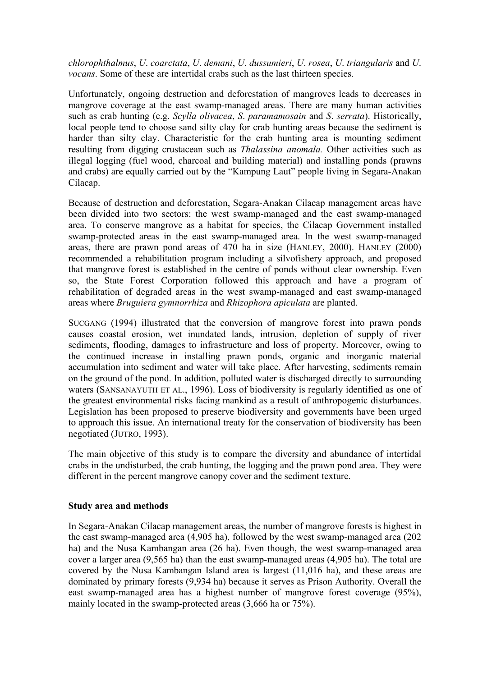*chlorophthalmus*, *U*. *coarctata*, *U*. *demani*, *U*. *dussumieri*, *U*. *rosea*, *U*. *triangularis* and *U*. *vocans*. Some of these are intertidal crabs such as the last thirteen species.

Unfortunately, ongoing destruction and deforestation of mangroves leads to decreases in mangrove coverage at the east swamp-managed areas. There are many human activities such as crab hunting (e.g. *Scylla olivacea*, *S*. *paramamosain* and *S*. *serrata*). Historically, local people tend to choose sand silty clay for crab hunting areas because the sediment is harder than silty clay. Characteristic for the crab hunting area is mounting sediment resulting from digging crustacean such as *Thalassina anomala.* Other activities such as illegal logging (fuel wood, charcoal and building material) and installing ponds (prawns and crabs) are equally carried out by the "Kampung Laut" people living in Segara-Anakan Cilacap.

Because of destruction and deforestation, Segara-Anakan Cilacap management areas have been divided into two sectors: the west swamp-managed and the east swamp-managed area. To conserve mangrove as a habitat for species, the Cilacap Government installed swamp-protected areas in the east swamp-managed area. In the west swamp-managed areas, there are prawn pond areas of 470 ha in size (HANLEY, 2000). HANLEY (2000) recommended a rehabilitation program including a silvofishery approach, and proposed that mangrove forest is established in the centre of ponds without clear ownership. Even so, the State Forest Corporation followed this approach and have a program of rehabilitation of degraded areas in the west swamp-managed and east swamp-managed areas where *Bruguiera gymnorrhiza* and *Rhizophora apiculata* are planted.

SUCGANG (1994) illustrated that the conversion of mangrove forest into prawn ponds causes coastal erosion, wet inundated lands, intrusion, depletion of supply of river sediments, flooding, damages to infrastructure and loss of property. Moreover, owing to the continued increase in installing prawn ponds, organic and inorganic material accumulation into sediment and water will take place. After harvesting, sediments remain on the ground of the pond. In addition, polluted water is discharged directly to surrounding waters (SANSANAYUTH ET AL., 1996). Loss of biodiversity is regularly identified as one of the greatest environmental risks facing mankind as a result of anthropogenic disturbances. Legislation has been proposed to preserve biodiversity and governments have been urged to approach this issue. An international treaty for the conservation of biodiversity has been negotiated (JUTRO, 1993).

The main objective of this study is to compare the diversity and abundance of intertidal crabs in the undisturbed, the crab hunting, the logging and the prawn pond area. They were different in the percent mangrove canopy cover and the sediment texture.

### **Study area and methods**

In Segara-Anakan Cilacap management areas, the number of mangrove forests is highest in the east swamp-managed area (4,905 ha), followed by the west swamp-managed area (202 ha) and the Nusa Kambangan area (26 ha). Even though, the west swamp-managed area cover a larger area (9,565 ha) than the east swamp-managed areas (4,905 ha). The total are covered by the Nusa Kambangan Island area is largest (11,016 ha), and these areas are dominated by primary forests (9,934 ha) because it serves as Prison Authority. Overall the east swamp-managed area has a highest number of mangrove forest coverage (95%), mainly located in the swamp-protected areas (3,666 ha or 75%).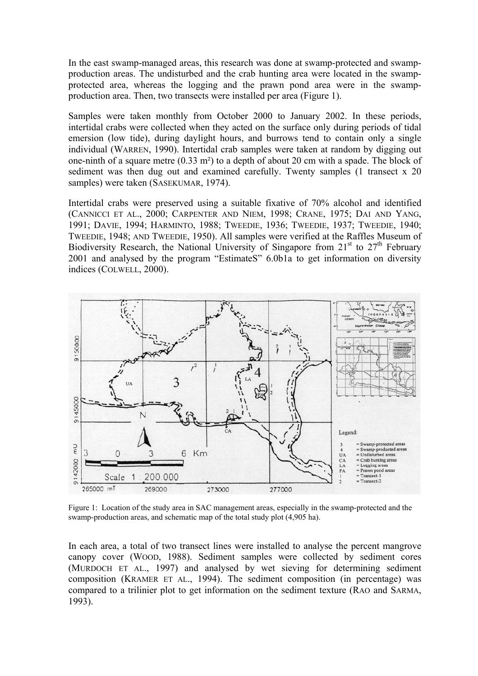In the east swamp-managed areas, this research was done at swamp-protected and swampproduction areas. The undisturbed and the crab hunting area were located in the swampprotected area, whereas the logging and the prawn pond area were in the swampproduction area. Then, two transects were installed per area (Figure 1).

Samples were taken monthly from October 2000 to January 2002. In these periods, intertidal crabs were collected when they acted on the surface only during periods of tidal emersion (low tide), during daylight hours, and burrows tend to contain only a single individual (WARREN, 1990). Intertidal crab samples were taken at random by digging out one-ninth of a square metre (0.33 m²) to a depth of about 20 cm with a spade. The block of sediment was then dug out and examined carefully. Twenty samples (1 transect x 20 samples) were taken (SASEKUMAR, 1974).

Intertidal crabs were preserved using a suitable fixative of 70% alcohol and identified (CANNICCI ET AL., 2000; CARPENTER AND NIEM, 1998; CRANE, 1975; DAI AND YANG, 1991; DAVIE, 1994; HARMINTO, 1988; TWEEDIE, 1936; TWEEDIE, 1937; TWEEDIE, 1940; TWEEDIE, 1948; AND TWEEDIE, 1950). All samples were verified at the Raffles Museum of Biodiversity Research, the National University of Singapore from  $21<sup>st</sup>$  to  $27<sup>th</sup>$  February 2001 and analysed by the program "EstimateS" 6.0b1a to get information on diversity indices (COLWELL, 2000).



Figure 1: Location of the study area in SAC management areas, especially in the swamp-protected and the swamp-production areas, and schematic map of the total study plot (4,905 ha).

In each area, a total of two transect lines were installed to analyse the percent mangrove canopy cover (WOOD, 1988). Sediment samples were collected by sediment cores (MURDOCH ET AL., 1997) and analysed by wet sieving for determining sediment composition (KRAMER ET AL., 1994). The sediment composition (in percentage) was compared to a trilinier plot to get information on the sediment texture (RAO and SARMA, 1993).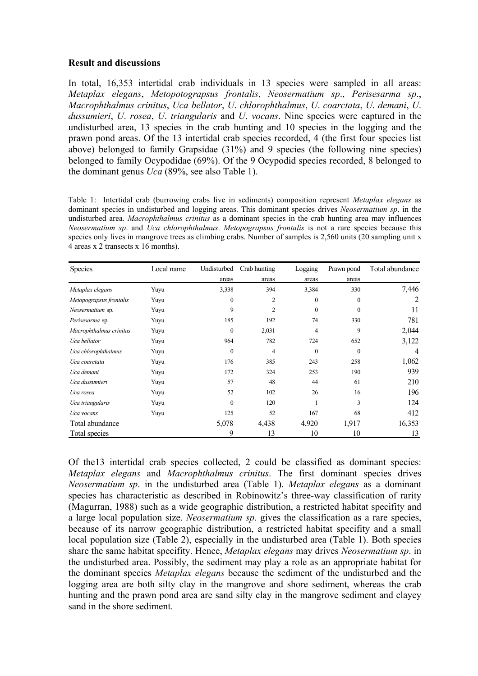## **Result and discussions**

In total, 16,353 intertidal crab individuals in 13 species were sampled in all areas: *Metaplax elegans*, *Metopotograpsus frontalis*, *Neosermatium sp*., *Perisesarma sp*., *Macrophthalmus crinitus*, *Uca bellator*, *U*. *chlorophthalmus*, *U*. *coarctata*, *U*. *demani*, *U*. *dussumieri*, *U*. *rosea*, *U*. *triangularis* and *U*. *vocans*. Nine species were captured in the undisturbed area, 13 species in the crab hunting and 10 species in the logging and the prawn pond areas. Of the 13 intertidal crab species recorded, 4 (the first four species list above) belonged to family Grapsidae (31%) and 9 species (the following nine species) belonged to family Ocypodidae (69%). Of the 9 Ocypodid species recorded, 8 belonged to the dominant genus *Uca* (89%, see also Table 1).

Table 1: Intertidal crab (burrowing crabs live in sediments) composition represent *Metaplax elegans* as dominant species in undisturbed and logging areas. This dominant species drives *Neosermatium sp*. in the undisturbed area. *Macrophthalmus crinitus* as a dominant species in the crab hunting area may influences *Neosermatium sp*. and *Uca chlorophthalmus*. *Metopograpsus frontalis* is not a rare species because this species only lives in mangrove trees as climbing crabs. Number of samples is 2,560 units (20 sampling unit x 4 areas x 2 transects x 16 months).

| <b>Species</b>          | Local name | Undisturbed  | Crab hunting   | Logging      | Prawn pond       | Total abundance |
|-------------------------|------------|--------------|----------------|--------------|------------------|-----------------|
|                         |            | areas        | areas          | areas        | areas            |                 |
| Metaplax elegans        | Yuyu       | 3,338        | 394            | 3,384        | 330              | 7,446           |
| Metopograpsus frontalis | Yuyu       | $\mathbf{0}$ | $\overline{2}$ | $\mathbf{0}$ | $\boldsymbol{0}$ | 2               |
| Neosermatium sp.        | Yuvu       | 9            | $\overline{c}$ | $\mathbf{0}$ | $\Omega$         | 11              |
| Perisesarma sp.         | Yuyu       | 185          | 192            | 74           | 330              | 781             |
| Macrophthalmus crinitus | Yuyu       | $\Omega$     | 2,031          | 4            | 9                | 2,044           |
| Uca bellator            | Yuyu       | 964          | 782            | 724          | 652              | 3,122           |
| Uca chlorophthalmus     | Yuyu       | $\mathbf{0}$ | 4              | $\mathbf{0}$ | $\mathbf{0}$     | $\overline{4}$  |
| Uca coarctata           | Yuyu       | 176          | 385            | 243          | 258              | 1,062           |
| Uca demani              | Yuyu       | 172          | 324            | 253          | 190              | 939             |
| Uca dussumieri          | Yuyu       | 57           | 48             | 44           | 61               | 210             |
| Uca rosea               | Yuyu       | 52           | 102            | 26           | 16               | 196             |
| Uca triangularis        | Yuyu       | $\mathbf{0}$ | 120            |              | 3                | 124             |
| Uca vocans              | Yuyu       | 125          | 52             | 167          | 68               | 412             |
| Total abundance         |            | 5,078        | 4,438          | 4,920        | 1,917            | 16,353          |
| Total species           |            | 9            | 13             | 10           | 10               | 13              |

Of the13 intertidal crab species collected, 2 could be classified as dominant species: *Metaplax elegans* and *Macrophthalmus crinitus*. The first dominant species drives *Neosermatium sp*. in the undisturbed area (Table 1). *Metaplax elegans* as a dominant species has characteristic as described in Robinowitz's three-way classification of rarity (Magurran, 1988) such as a wide geographic distribution, a restricted habitat specifity and a large local population size. *Neosermatium sp*. gives the classification as a rare species, because of its narrow geographic distribution, a restricted habitat specifity and a small local population size (Table 2), especially in the undisturbed area (Table 1). Both species share the same habitat specifity. Hence, *Metaplax elegans* may drives *Neosermatium sp*. in the undisturbed area. Possibly, the sediment may play a role as an appropriate habitat for the dominant species *Metaplax elegans* because the sediment of the undisturbed and the logging area are both silty clay in the mangrove and shore sediment, whereas the crab hunting and the prawn pond area are sand silty clay in the mangrove sediment and clayey sand in the shore sediment.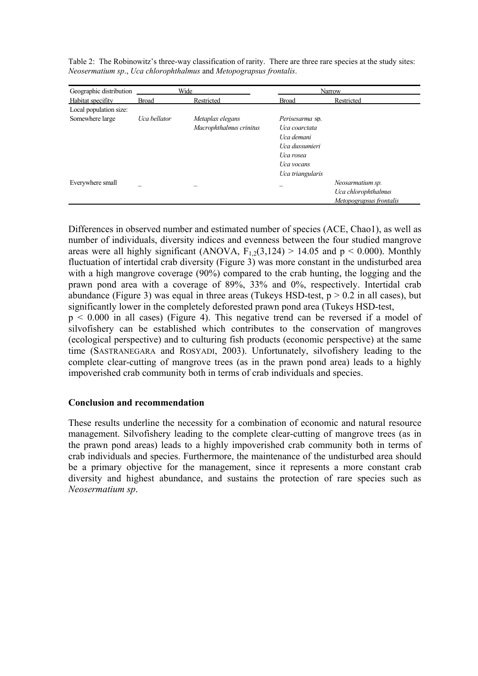Table 2: The Robinowitz's three-way classification of rarity. There are three rare species at the study sites: *Neosermatium sp*., *Uca chlorophthalmus* and *Metopograpsus frontalis*.

| Geographic distribution | Wide         |                         |                        | Narrow                  |
|-------------------------|--------------|-------------------------|------------------------|-------------------------|
| Habitat specifity       | <b>Broad</b> | Restricted              | <b>Broad</b>           | Restricted              |
| Local population size:  |              |                         |                        |                         |
| Somewhere large         | Uca bellator | Metaplax elegans        | <i>Perisesarma</i> sp. |                         |
|                         |              | Macrophthalmus crinitus | Uca coarctata          |                         |
|                         |              |                         | Uca demani             |                         |
|                         |              |                         | Uca dussumieri         |                         |
|                         |              |                         | Uca rosea              |                         |
|                         |              |                         | Uca vocans             |                         |
|                         |              |                         | Uca triangularis       |                         |
| Everywhere small        |              |                         |                        | Neosarmatium sp.        |
|                         |              |                         |                        | Uca chlorophthalmus     |
|                         |              |                         |                        | Metopograpsus frontalis |

Differences in observed number and estimated number of species (ACE, Chao1), as well as number of individuals, diversity indices and evenness between the four studied mangrove areas were all highly significant (ANOVA,  $F_{1,2}(3,124) > 14.05$  and  $p < 0.000$ ). Monthly fluctuation of intertidal crab diversity (Figure 3) was more constant in the undisturbed area with a high mangrove coverage (90%) compared to the crab hunting, the logging and the prawn pond area with a coverage of 89%, 33% and 0%, respectively. Intertidal crab abundance (Figure 3) was equal in three areas (Tukeys HSD-test,  $p > 0.2$  in all cases), but significantly lower in the completely deforested prawn pond area (Tukeys HSD-test,

 $p \le 0.000$  in all cases) (Figure 4). This negative trend can be reversed if a model of silvofishery can be established which contributes to the conservation of mangroves (ecological perspective) and to culturing fish products (economic perspective) at the same time (SASTRANEGARA and ROSYADI, 2003). Unfortunately, silvofishery leading to the complete clear-cutting of mangrove trees (as in the prawn pond area) leads to a highly impoverished crab community both in terms of crab individuals and species.

### **Conclusion and recommendation**

These results underline the necessity for a combination of economic and natural resource management. Silvofishery leading to the complete clear-cutting of mangrove trees (as in the prawn pond areas) leads to a highly impoverished crab community both in terms of crab individuals and species. Furthermore, the maintenance of the undisturbed area should be a primary objective for the management, since it represents a more constant crab diversity and highest abundance, and sustains the protection of rare species such as *Neosermatium sp*.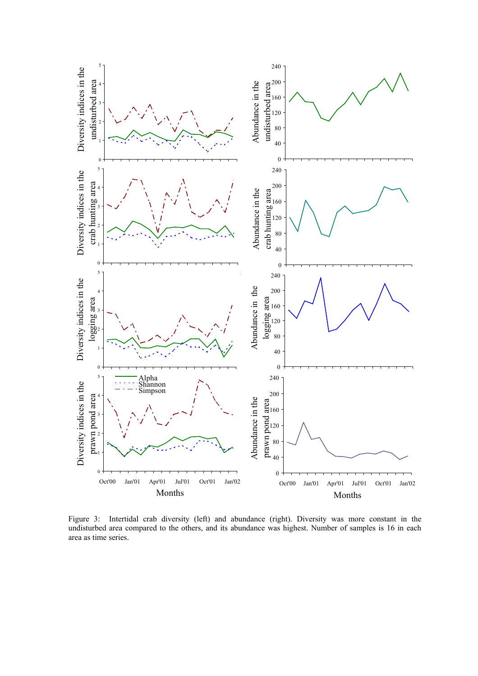

Figure 3: Intertidal crab diversity (left) and abundance (right). Diversity was more constant in the undisturbed area compared to the others, and its abundance was highest. Number of samples is 16 in each area as time series.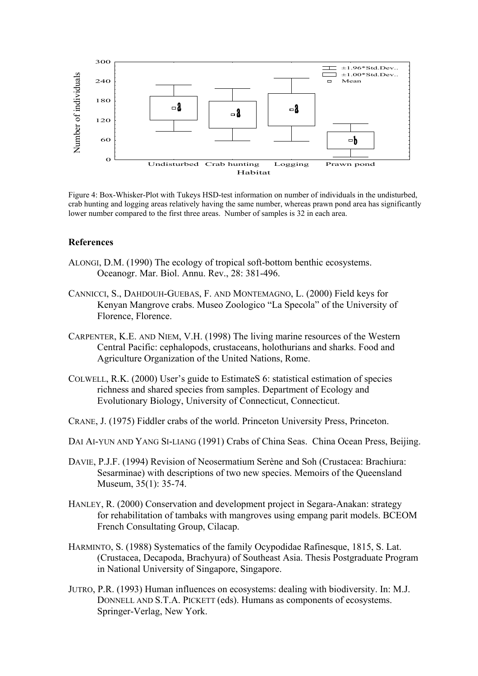

Figure 4: Box-Whisker-Plot with Tukeys HSD-test information on number of individuals in the undisturbed, crab hunting and logging areas relatively having the same number, whereas prawn pond area has significantly lower number compared to the first three areas. Number of samples is 32 in each area.

#### **References**

- ALONGI, D.M. (1990) The ecology of tropical soft-bottom benthic ecosystems. Oceanogr. Mar. Biol. Annu. Rev., 28: 381-496.
- CANNICCI, S., DAHDOUH-GUEBAS, F. AND MONTEMAGNO, L. (2000) Field keys for Kenyan Mangrove crabs. Museo Zoologico "La Specola" of the University of Florence, Florence.
- CARPENTER, K.E. AND NIEM, V.H. (1998) The living marine resources of the Western Central Pacific: cephalopods, crustaceans, holothurians and sharks. Food and Agriculture Organization of the United Nations, Rome.
- COLWELL, R.K. (2000) User's guide to EstimateS 6: statistical estimation of species richness and shared species from samples. Department of Ecology and Evolutionary Biology, University of Connecticut, Connecticut.
- CRANE, J. (1975) Fiddler crabs of the world. Princeton University Press, Princeton.
- DAI AI-YUN AND YANG SI-LIANG (1991) Crabs of China Seas. China Ocean Press, Beijing.
- DAVIE, P.J.F. (1994) Revision of Neosermatium Serène and Soh (Crustacea: Brachiura: Sesarminae) with descriptions of two new species. Memoirs of the Queensland Museum, 35(1): 35-74.
- HANLEY, R. (2000) Conservation and development project in Segara-Anakan: strategy for rehabilitation of tambaks with mangroves using empang parit models. BCEOM French Consultating Group, Cilacap.
- HARMINTO, S. (1988) Systematics of the family Ocypodidae Rafinesque, 1815, S. Lat. (Crustacea, Decapoda, Brachyura) of Southeast Asia. Thesis Postgraduate Program in National University of Singapore, Singapore.
- JUTRO, P.R. (1993) Human influences on ecosystems: dealing with biodiversity. In: M.J. DONNELL AND S.T.A. PICKETT (eds). Humans as components of ecosystems. Springer-Verlag, New York.